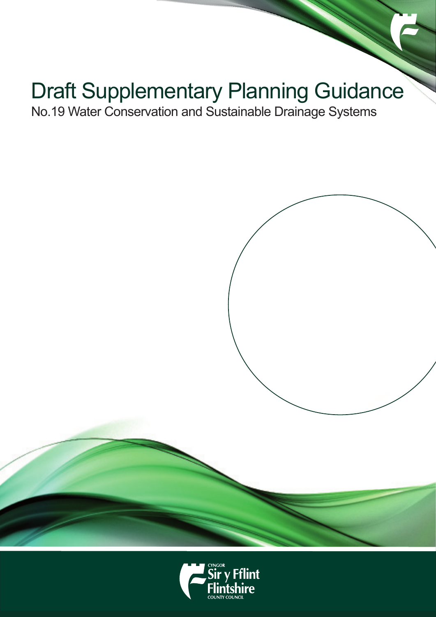# Draft Supplementary Planning Guidance

No.19 Water Conservation and Sustainable Drainage Systems

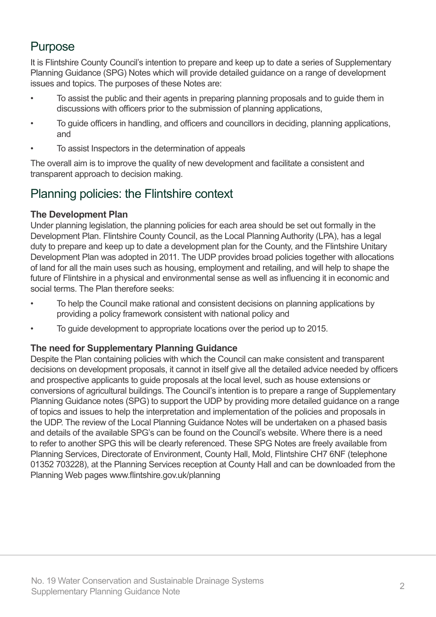### Purpose

It is Flintshire County Council's intention to prepare and keep up to date a series of Supplementary Planning Guidance (SPG) Notes which will provide detailed guidance on a range of development issues and topics. The purposes of these Notes are:

- To assist the public and their agents in preparing planning proposals and to guide them in discussions with officers prior to the submission of planning applications,
- To guide officers in handling, and officers and councillors in deciding, planning applications, and
- To assist Inspectors in the determination of appeals

The overall aim is to improve the quality of new development and facilitate a consistent and transparent approach to decision making.

### Planning policies: the Flintshire context

#### **The Development Plan**

Under planning legislation, the planning policies for each area should be set out formally in the Development Plan. Flintshire County Council, as the Local Planning Authority (LPA), has a legal duty to prepare and keep up to date a development plan for the County, and the Flintshire Unitary Development Plan was adopted in 2011. The UDP provides broad policies together with allocations of land for all the main uses such as housing, employment and retailing, and will help to shape the future of Flintshire in a physical and environmental sense as well as influencing it in economic and social terms. The Plan therefore seeks:

- To help the Council make rational and consistent decisions on planning applications by providing a policy framework consistent with national policy and
- To guide development to appropriate locations over the period up to 2015.

#### **The need for Supplementary Planning Guidance**

Despite the Plan containing policies with which the Council can make consistent and transparent decisions on development proposals, it cannot in itself give all the detailed advice needed by officers and prospective applicants to guide proposals at the local level, such as house extensions or conversions of agricultural buildings. The Council's intention is to prepare a range of Supplementary Planning Guidance notes (SPG) to support the UDP by providing more detailed guidance on a range of topics and issues to help the interpretation and implementation of the policies and proposals in the UDP. The review of the Local Planning Guidance Notes will be undertaken on a phased basis and details of the available SPG's can be found on the Council's website. Where there is a need to refer to another SPG this will be clearly referenced. These SPG Notes are freely available from Planning Services, Directorate of Environment, County Hall, Mold, Flintshire CH7 6NF (telephone 01352 703228), at the Planning Services reception at County Hall and can be downloaded from the Planning Web pages www.flintshire.gov.uk/planning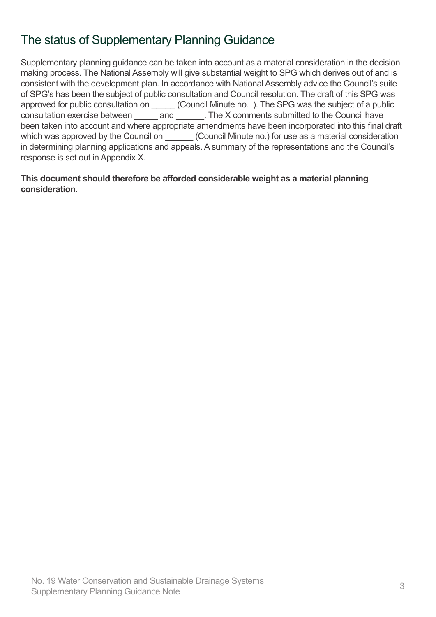### The status of Supplementary Planning Guidance

Supplementary planning guidance can be taken into account as a material consideration in the decision making process. The National Assembly will give substantial weight to SPG which derives out of and is consistent with the development plan. In accordance with National Assembly advice the Council's suite of SPG's has been the subject of public consultation and Council resolution. The draft of this SPG was approved for public consultation on \_\_\_\_\_\_ (Council Minute no. ). The SPG was the subject of a public consultation exercise between \_\_\_\_\_ and \_\_\_\_\_\_. The X comments submitted to the Council have been taken into account and where appropriate amendments have been incorporated into this final draft which was approved by the Council on \_\_\_\_\_\_\_ (Council Minute no.) for use as a material consideration in determining planning applications and appeals. A summary of the representations and the Council's response is set out in Appendix X.

**This document should therefore be afforded considerable weight as a material planning consideration.**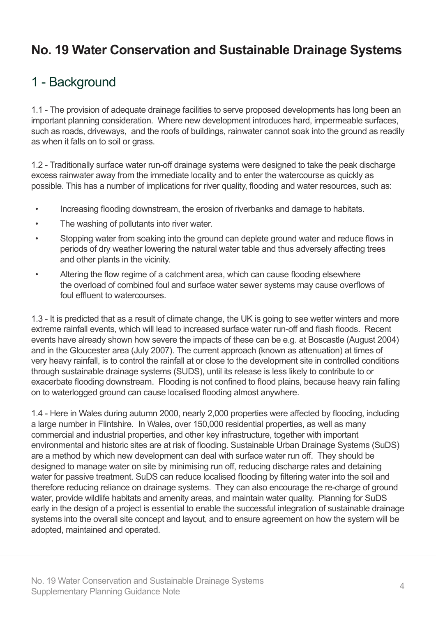# **No. 19 Water Conservation and Sustainable Drainage Systems**

## 1 - Background

1.1 - The provision of adequate drainage facilities to serve proposed developments has long been an important planning consideration. Where new development introduces hard, impermeable surfaces, such as roads, driveways, and the roofs of buildings, rainwater cannot soak into the ground as readily as when it falls on to soil or grass.

1.2 - Traditionally surface water run-off drainage systems were designed to take the peak discharge excess rainwater away from the immediate locality and to enter the watercourse as quickly as possible. This has a number of implications for river quality, flooding and water resources, such as:

- Increasing flooding downstream, the erosion of riverbanks and damage to habitats.
- The washing of pollutants into river water.
- Stopping water from soaking into the ground can deplete ground water and reduce flows in periods of dry weather lowering the natural water table and thus adversely affecting trees and other plants in the vicinity.
- Altering the flow regime of a catchment area, which can cause flooding elsewhere the overload of combined foul and surface water sewer systems may cause overflows of foul effluent to watercourses.

1.3 - It is predicted that as a result of climate change, the UK is going to see wetter winters and more extreme rainfall events, which will lead to increased surface water run-off and flash floods. Recent events have already shown how severe the impacts of these can be e.g. at Boscastle (August 2004) and in the Gloucester area (July 2007). The current approach (known as attenuation) at times of very heavy rainfall, is to control the rainfall at or close to the development site in controlled conditions through sustainable drainage systems (SUDS), until its release is less likely to contribute to or exacerbate flooding downstream. Flooding is not confined to flood plains, because heavy rain falling on to waterlogged ground can cause localised flooding almost anywhere.

1.4 - Here in Wales during autumn 2000, nearly 2,000 properties were affected by flooding, including a large number in Flintshire. In Wales, over 150,000 residential properties, as well as many commercial and industrial properties, and other key infrastructure, together with important environmental and historic sites are at risk of flooding. Sustainable Urban Drainage Systems (SuDS) are a method by which new development can deal with surface water run off. They should be designed to manage water on site by minimising run off, reducing discharge rates and detaining water for passive treatment. SuDS can reduce localised flooding by filtering water into the soil and therefore reducing reliance on drainage systems. They can also encourage the re-charge of ground water, provide wildlife habitats and amenity areas, and maintain water quality. Planning for SuDS early in the design of a project is essential to enable the successful integration of sustainable drainage systems into the overall site concept and layout, and to ensure agreement on how the system will be adopted, maintained and operated.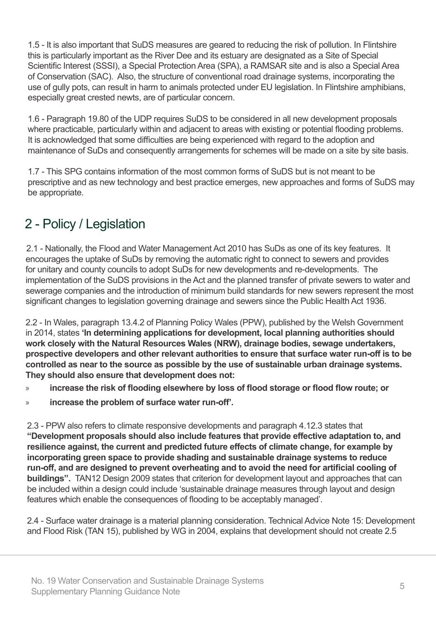1.5 - It is also important that SuDS measures are geared to reducing the risk of pollution. In Flintshire this is particularly important as the River Dee and its estuary are designated as a Site of Special Scientific Interest (SSSI), a Special Protection Area (SPA), a RAMSAR site and is also a Special Area of Conservation (SAC). Also, the structure of conventional road drainage systems, incorporating the use of gully pots, can result in harm to animals protected under EU legislation. In Flintshire amphibians, especially great crested newts, are of particular concern.

1.6 - Paragraph 19.80 of the UDP requires SuDS to be considered in all new development proposals where practicable, particularly within and adjacent to areas with existing or potential flooding problems. It is acknowledged that some difficulties are being experienced with regard to the adoption and maintenance of SuDs and consequently arrangements for schemes will be made on a site by site basis.

1.7 - This SPG contains information of the most common forms of SuDS but is not meant to be prescriptive and as new technology and best practice emerges, new approaches and forms of SuDS may be appropriate.

# 2 - Policy / Legislation

2.1 - Nationally, the Flood and Water Management Act 2010 has SuDs as one of its key features. It encourages the uptake of SuDs by removing the automatic right to connect to sewers and provides for unitary and county councils to adopt SuDs for new developments and re-developments. The implementation of the SuDS provisions in the Act and the planned transfer of private sewers to water and sewerage companies and the introduction of minimum build standards for new sewers represent the most significant changes to legislation governing drainage and sewers since the Public Health Act 1936.

2.2 - In Wales, paragraph 13.4.2 of Planning Policy Wales (PPW), published by the Welsh Government in 2014, states **'In determining applications for development, local planning authorities should work closely with the Natural Resources Wales (NRW), drainage bodies, sewage undertakers, prospective developers and other relevant authorities to ensure that surface water run-off is to be controlled as near to the source as possible by the use of sustainable urban drainage systems. They should also ensure that development does not:** 

- » **increase the risk of flooding elsewhere by loss of flood storage or flood flow route; or**
- » **increase the problem of surface water run-off'.**

2.3 - PPW also refers to climate responsive developments and paragraph 4.12.3 states that **"Development proposals should also include features that provide effective adaptation to, and resilience against, the current and predicted future effects of climate change, for example by incorporating green space to provide shading and sustainable drainage systems to reduce run-off, and are designed to prevent overheating and to avoid the need for artificial cooling of buildings".** TAN12 Design 2009 states that criterion for development layout and approaches that can be included within a design could include 'sustainable drainage measures through layout and design features which enable the consequences of flooding to be acceptably managed'.

2.4 - Surface water drainage is a material planning consideration. Technical Advice Note 15: Development and Flood Risk (TAN 15), published by WG in 2004, explains that development should not create 2.5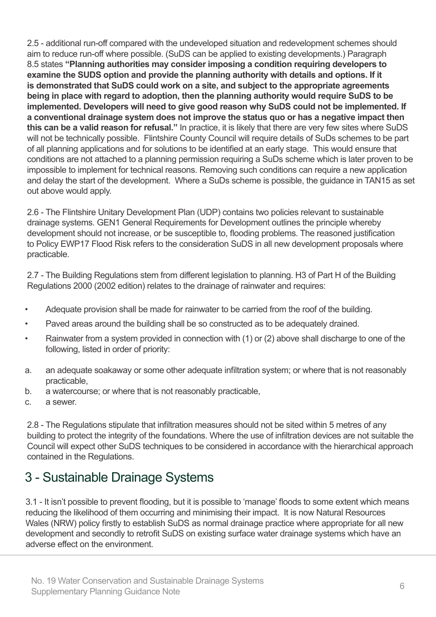2.5 - additional run-off compared with the undeveloped situation and redevelopment schemes should aim to reduce run-off where possible. (SuDS can be applied to existing developments.) Paragraph 8.5 states **"Planning authorities may consider imposing a condition requiring developers to examine the SUDS option and provide the planning authority with details and options. If it is demonstrated that SuDS could work on a site, and subject to the appropriate agreements being in place with regard to adoption, then the planning authority would require SuDS to be implemented. Developers will need to give good reason why SuDS could not be implemented. If a conventional drainage system does not improve the status quo or has a negative impact then this can be a valid reason for refusal."** In practice, it is likely that there are very few sites where SuDS will not be technically possible. Flintshire County Council will require details of SuDs schemes to be part of all planning applications and for solutions to be identified at an early stage. This would ensure that conditions are not attached to a planning permission requiring a SuDs scheme which is later proven to be impossible to implement for technical reasons. Removing such conditions can require a new application and delay the start of the development. Where a SuDs scheme is possible, the guidance in TAN15 as set out above would apply.

2.6 - The Flintshire Unitary Development Plan (UDP) contains two policies relevant to sustainable drainage systems. GEN1 General Requirements for Development outlines the principle whereby development should not increase, or be susceptible to, flooding problems. The reasoned justification to Policy EWP17 Flood Risk refers to the consideration SuDS in all new development proposals where practicable.

2.7 - The Building Regulations stem from different legislation to planning. H3 of Part H of the Building Regulations 2000 (2002 edition) relates to the drainage of rainwater and requires:

- Adequate provision shall be made for rainwater to be carried from the roof of the building.
- Paved areas around the building shall be so constructed as to be adequately drained.
- Rainwater from a system provided in connection with (1) or (2) above shall discharge to one of the following, listed in order of priority:
- a. an adequate soakaway or some other adequate infiltration system; or where that is not reasonably practicable,
- b. a watercourse; or where that is not reasonably practicable,
- c. a sewer.

2.8 - The Regulations stipulate that infiltration measures should not be sited within 5 metres of any building to protect the integrity of the foundations. Where the use of infiltration devices are not suitable the Council will expect other SuDS techniques to be considered in accordance with the hierarchical approach contained in the Regulations.

### 3 - Sustainable Drainage Systems

3.1 - It isn't possible to prevent flooding, but it is possible to 'manage' floods to some extent which means reducing the likelihood of them occurring and minimising their impact. It is now Natural Resources Wales (NRW) policy firstly to establish SuDS as normal drainage practice where appropriate for all new development and secondly to retrofit SuDS on existing surface water drainage systems which have an adverse effect on the environment.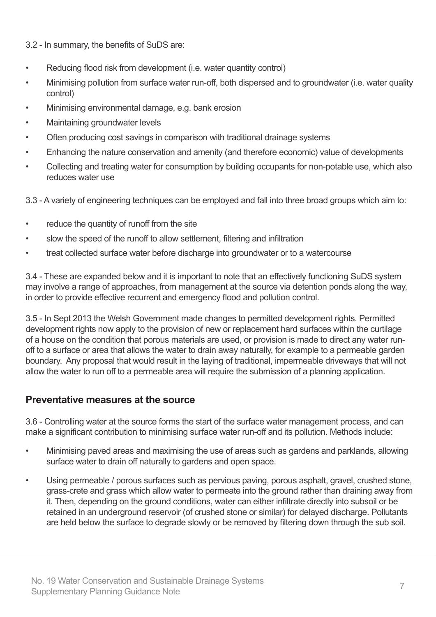3.2 - In summary, the benefits of SuDS are:

- Reducing flood risk from development (i.e. water quantity control)
- Minimising pollution from surface water run-off, both dispersed and to groundwater (i.e. water quality control)
- Minimising environmental damage, e.g. bank erosion
- Maintaining groundwater levels
- Often producing cost savings in comparison with traditional drainage systems
- Enhancing the nature conservation and amenity (and therefore economic) value of developments
- Collecting and treating water for consumption by building occupants for non-potable use, which also reduces water use

3.3 - A variety of engineering techniques can be employed and fall into three broad groups which aim to:

- reduce the quantity of runoff from the site
- slow the speed of the runoff to allow settlement, filtering and infiltration
- treat collected surface water before discharge into groundwater or to a watercourse

3.4 - These are expanded below and it is important to note that an effectively functioning SuDS system may involve a range of approaches, from management at the source via detention ponds along the way, in order to provide effective recurrent and emergency flood and pollution control.

3.5 - In Sept 2013 the Welsh Government made changes to permitted development rights. Permitted development rights now apply to the provision of new or replacement hard surfaces within the curtilage of a house on the condition that porous materials are used, or provision is made to direct any water runoff to a surface or area that allows the water to drain away naturally, for example to a permeable garden boundary. Any proposal that would result in the laying of traditional, impermeable driveways that will not allow the water to run off to a permeable area will require the submission of a planning application.

#### **Preventative measures at the source**

3.6 - Controlling water at the source forms the start of the surface water management process, and can make a significant contribution to minimising surface water run-off and its pollution. Methods include:

- Minimising paved areas and maximising the use of areas such as gardens and parklands, allowing surface water to drain off naturally to gardens and open space.
- Using permeable / porous surfaces such as pervious paving, porous asphalt, gravel, crushed stone, grass-crete and grass which allow water to permeate into the ground rather than draining away from it. Then, depending on the ground conditions, water can either infiltrate directly into subsoil or be retained in an underground reservoir (of crushed stone or similar) for delayed discharge. Pollutants are held below the surface to degrade slowly or be removed by filtering down through the sub soil.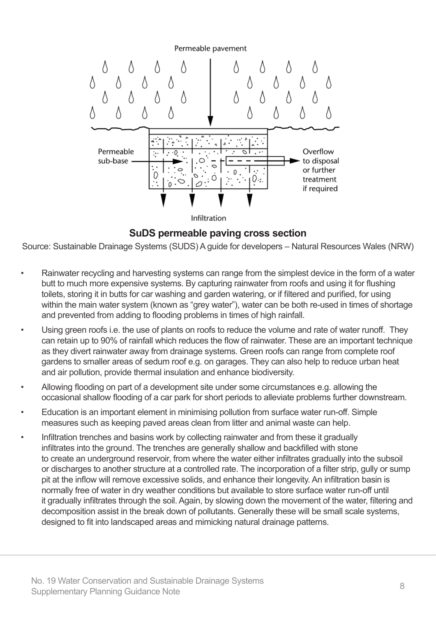

**SuDS permeable paving cross section**

Source: Sustainable Drainage Systems (SUDS) A guide for developers – Natural Resources Wales (NRW)

- Rainwater recycling and harvesting systems can range from the simplest device in the form of a water butt to much more expensive systems. By capturing rainwater from roofs and using it for flushing toilets, storing it in butts for car washing and garden watering, or if filtered and purified, for using within the main water system (known as "grey water"), water can be both re-used in times of shortage and prevented from adding to flooding problems in times of high rainfall.
- Using green roofs i.e. the use of plants on roofs to reduce the volume and rate of water runoff. They can retain up to 90% of rainfall which reduces the flow of rainwater. These are an important technique as they divert rainwater away from drainage systems. Green roofs can range from complete roof gardens to smaller areas of sedum roof e.g. on garages. They can also help to reduce urban heat and air pollution, provide thermal insulation and enhance biodiversity.
- Allowing flooding on part of a development site under some circumstances e.g. allowing the occasional shallow flooding of a car park for short periods to alleviate problems further downstream.
- Education is an important element in minimising pollution from surface water run-off. Simple measures such as keeping paved areas clean from litter and animal waste can help.
- Infiltration trenches and basins work by collecting rainwater and from these it gradually infiltrates into the ground. The trenches are generally shallow and backfilled with stone to create an underground reservoir, from where the water either infiltrates gradually into the subsoil or discharges to another structure at a controlled rate. The incorporation of a filter strip, gully or sump pit at the inflow will remove excessive solids, and enhance their longevity. An infiltration basin is normally free of water in dry weather conditions but available to store surface water run-off until it gradually infiltrates through the soil. Again, by slowing down the movement of the water, filtering and decomposition assist in the break down of pollutants. Generally these will be small scale systems, designed to fit into landscaped areas and mimicking natural drainage patterns.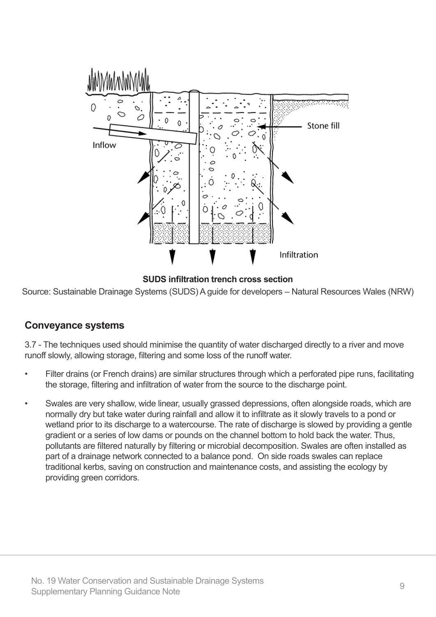

**SUDS infiltration trench cross section**

Source: Sustainable Drainage Systems (SUDS) A guide for developers – Natural Resources Wales (NRW)

#### **Conveyance systems**

3.7 - The techniques used should minimise the quantity of water discharged directly to a river and move runoff slowly, allowing storage, filtering and some loss of the runoff water.

- Filter drains (or French drains) are similar structures through which a perforated pipe runs, facilitating the storage, filtering and infiltration of water from the source to the discharge point.
- Swales are very shallow, wide linear, usually grassed depressions, often alongside roads, which are normally dry but take water during rainfall and allow it to infiltrate as it slowly travels to a pond or wetland prior to its discharge to a watercourse. The rate of discharge is slowed by providing a gentle gradient or a series of low dams or pounds on the channel bottom to hold back the water. Thus, pollutants are filtered naturally by filtering or microbial decomposition. Swales are often installed as part of a drainage network connected to a balance pond. On side roads swales can replace traditional kerbs, saving on construction and maintenance costs, and assisting the ecology by providing green corridors.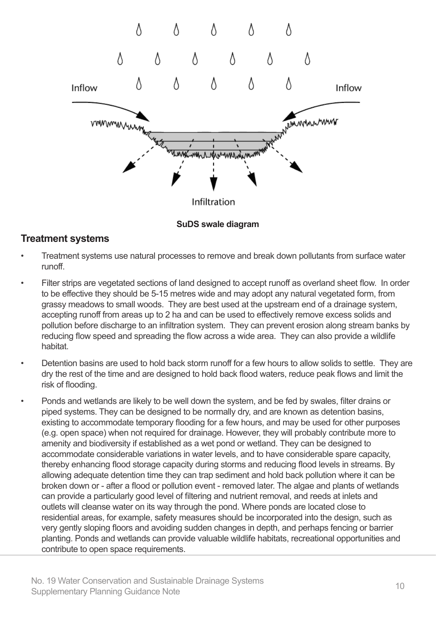

**SuDS swale diagram**

#### **Treatment systems**

- Treatment systems use natural processes to remove and break down pollutants from surface water runoff.
- Filter strips are vegetated sections of land designed to accept runoff as overland sheet flow. In order to be effective they should be 5-15 metres wide and may adopt any natural vegetated form, from grassy meadows to small woods. They are best used at the upstream end of a drainage system, accepting runoff from areas up to 2 ha and can be used to effectively remove excess solids and pollution before discharge to an infiltration system. They can prevent erosion along stream banks by reducing flow speed and spreading the flow across a wide area. They can also provide a wildlife habitat.
- Detention basins are used to hold back storm runoff for a few hours to allow solids to settle. They are dry the rest of the time and are designed to hold back flood waters, reduce peak flows and limit the risk of flooding.
- Ponds and wetlands are likely to be well down the system, and be fed by swales, filter drains or piped systems. They can be designed to be normally dry, and are known as detention basins, existing to accommodate temporary flooding for a few hours, and may be used for other purposes (e.g. open space) when not required for drainage. However, they will probably contribute more to amenity and biodiversity if established as a wet pond or wetland. They can be designed to accommodate considerable variations in water levels, and to have considerable spare capacity, thereby enhancing flood storage capacity during storms and reducing flood levels in streams. By allowing adequate detention time they can trap sediment and hold back pollution where it can be broken down or - after a flood or pollution event - removed later. The algae and plants of wetlands can provide a particularly good level of filtering and nutrient removal, and reeds at inlets and outlets will cleanse water on its way through the pond. Where ponds are located close to residential areas, for example, safety measures should be incorporated into the design, such as very gently sloping floors and avoiding sudden changes in depth, and perhaps fencing or barrier planting. Ponds and wetlands can provide valuable wildlife habitats, recreational opportunities and contribute to open space requirements.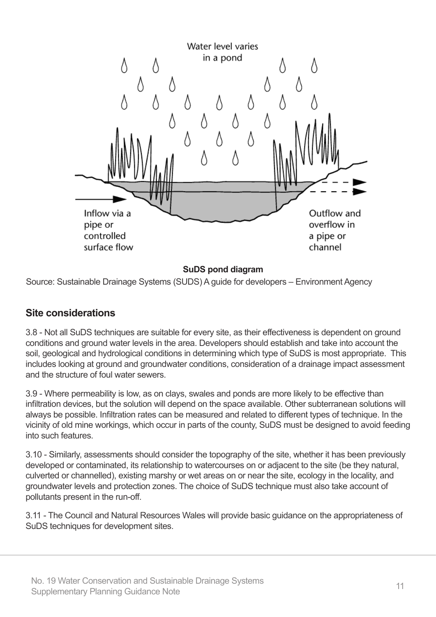

#### **SuDS pond diagram**

Source: Sustainable Drainage Systems (SUDS) A guide for developers – Environment Agency

#### **Site considerations**

3.8 - Not all SuDS techniques are suitable for every site, as their effectiveness is dependent on ground conditions and ground water levels in the area. Developers should establish and take into account the soil, geological and hydrological conditions in determining which type of SuDS is most appropriate. This includes looking at ground and groundwater conditions, consideration of a drainage impact assessment and the structure of foul water sewers.

3.9 - Where permeability is low, as on clays, swales and ponds are more likely to be effective than infiltration devices, but the solution will depend on the space available. Other subterranean solutions will always be possible. Infiltration rates can be measured and related to different types of technique. In the vicinity of old mine workings, which occur in parts of the county, SuDS must be designed to avoid feeding into such features.

3.10 - Similarly, assessments should consider the topography of the site, whether it has been previously developed or contaminated, its relationship to watercourses on or adjacent to the site (be they natural, culverted or channelled), existing marshy or wet areas on or near the site, ecology in the locality, and groundwater levels and protection zones. The choice of SuDS technique must also take account of pollutants present in the run-off.

3.11 - The Council and Natural Resources Wales will provide basic guidance on the appropriateness of SuDS techniques for development sites.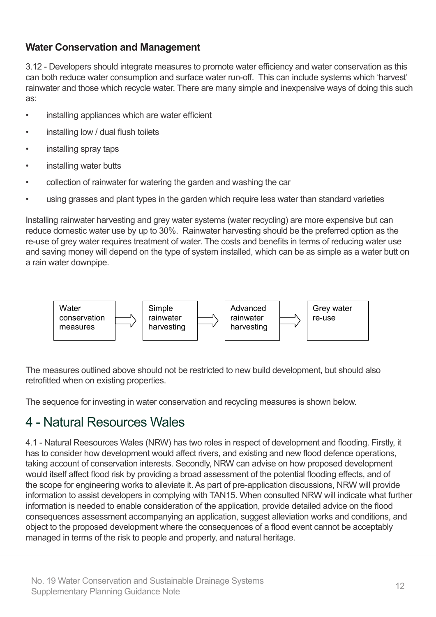#### **Water Conservation and Management**

3.12 - Developers should integrate measures to promote water efficiency and water conservation as this can both reduce water consumption and surface water run-off. This can include systems which 'harvest' rainwater and those which recycle water. There are many simple and inexpensive ways of doing this such as:

- installing appliances which are water efficient
- installing low / dual flush toilets
- installing spray taps
- installing water butts
- collection of rainwater for watering the garden and washing the car
- using grasses and plant types in the garden which require less water than standard varieties

Installing rainwater harvesting and grey water systems (water recycling) are more expensive but can reduce domestic water use by up to 30%. Rainwater harvesting should be the preferred option as the re-use of grey water requires treatment of water. The costs and benefits in terms of reducing water use and saving money will depend on the type of system installed, which can be as simple as a water butt on a rain water downpipe.



The measures outlined above should not be restricted to new build development, but should also retrofitted when on existing properties.

The sequence for investing in water conservation and recycling measures is shown below.

### 4 - Natural Resources Wales

4.1 - Natural Reesources Wales (NRW) has two roles in respect of development and flooding. Firstly, it has to consider how development would affect rivers, and existing and new flood defence operations, taking account of conservation interests. Secondly, NRW can advise on how proposed development would itself affect flood risk by providing a broad assessment of the potential flooding effects, and of the scope for engineering works to alleviate it. As part of pre-application discussions, NRW will provide information to assist developers in complying with TAN15. When consulted NRW will indicate what further information is needed to enable consideration of the application, provide detailed advice on the flood consequences assessment accompanying an application, suggest alleviation works and conditions, and object to the proposed development where the consequences of a flood event cannot be acceptably managed in terms of the risk to people and property, and natural heritage.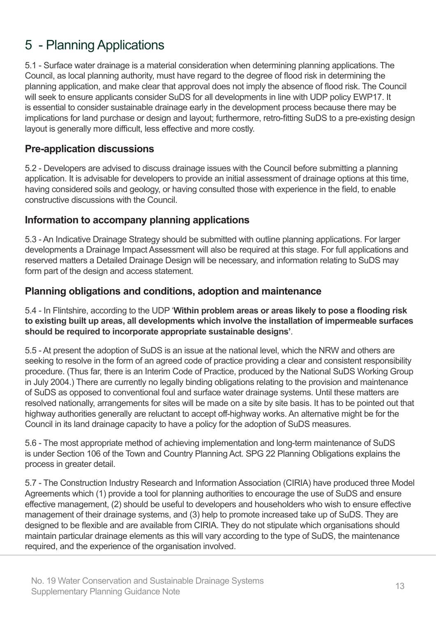# 5 - Planning Applications

5.1 - Surface water drainage is a material consideration when determining planning applications. The Council, as local planning authority, must have regard to the degree of flood risk in determining the planning application, and make clear that approval does not imply the absence of flood risk. The Council will seek to ensure applicants consider SuDS for all developments in line with UDP policy EWP17. It is essential to consider sustainable drainage early in the development process because there may be implications for land purchase or design and layout; furthermore, retro-fitting SuDS to a pre-existing design layout is generally more difficult, less effective and more costly.

#### **Pre-application discussions**

5.2 - Developers are advised to discuss drainage issues with the Council before submitting a planning application. It is advisable for developers to provide an initial assessment of drainage options at this time, having considered soils and geology, or having consulted those with experience in the field, to enable constructive discussions with the Council.

#### **Information to accompany planning applications**

5.3 - An Indicative Drainage Strategy should be submitted with outline planning applications. For larger developments a Drainage Impact Assessment will also be required at this stage. For full applications and reserved matters a Detailed Drainage Design will be necessary, and information relating to SuDS may form part of the design and access statement.

#### **Planning obligations and conditions, adoption and maintenance**

5.4 - In Flintshire, according to the UDP '**Within problem areas or areas likely to pose a flooding risk to existing built up areas, all developments which involve the installation of impermeable surfaces should be required to incorporate appropriate sustainable designs'**.

5.5 - At present the adoption of SuDS is an issue at the national level, which the NRW and others are seeking to resolve in the form of an agreed code of practice providing a clear and consistent responsibility procedure. (Thus far, there is an Interim Code of Practice, produced by the National SuDS Working Group in July 2004.) There are currently no legally binding obligations relating to the provision and maintenance of SuDS as opposed to conventional foul and surface water drainage systems. Until these matters are resolved nationally, arrangements for sites will be made on a site by site basis. It has to be pointed out that highway authorities generally are reluctant to accept off-highway works. An alternative might be for the Council in its land drainage capacity to have a policy for the adoption of SuDS measures.

5.6 - The most appropriate method of achieving implementation and long-term maintenance of SuDS is under Section 106 of the Town and Country Planning Act. SPG 22 Planning Obligations explains the process in greater detail.

5.7 - The Construction Industry Research and Information Association (CIRIA) have produced three Model Agreements which (1) provide a tool for planning authorities to encourage the use of SuDS and ensure effective management, (2) should be useful to developers and householders who wish to ensure effective management of their drainage systems, and (3) help to promote increased take up of SuDS. They are designed to be flexible and are available from CIRIA. They do not stipulate which organisations should maintain particular drainage elements as this will vary according to the type of SuDS, the maintenance required, and the experience of the organisation involved.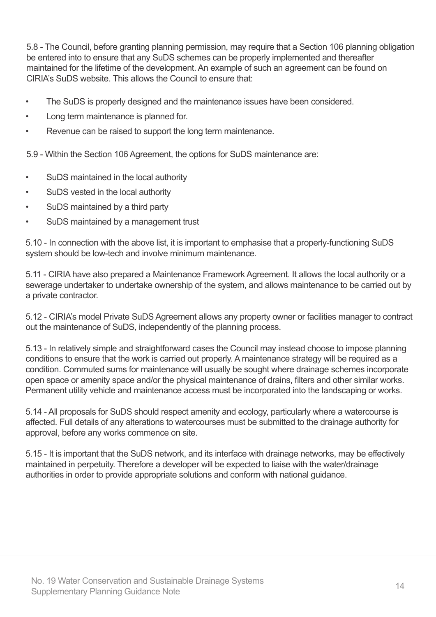5.8 - The Council, before granting planning permission, may require that a Section 106 planning obligation be entered into to ensure that any SuDS schemes can be properly implemented and thereafter maintained for the lifetime of the development. An example of such an agreement can be found on CIRIA's SuDS website. This allows the Council to ensure that:

- The SuDS is properly designed and the maintenance issues have been considered.
- • Long term maintenance is planned for.
- Revenue can be raised to support the long term maintenance.

5.9 - Within the Section 106 Agreement, the options for SuDS maintenance are:

- SuDS maintained in the local authority
- SuDS vested in the local authority
- SuDS maintained by a third party
- SuDS maintained by a management trust

5.10 - In connection with the above list, it is important to emphasise that a properly-functioning SuDS system should be low-tech and involve minimum maintenance.

5.11 - CIRIA have also prepared a Maintenance Framework Agreement. It allows the local authority or a sewerage undertaker to undertake ownership of the system, and allows maintenance to be carried out by a private contractor.

5.12 - CIRIA's model Private SuDS Agreement allows any property owner or facilities manager to contract out the maintenance of SuDS, independently of the planning process.

5.13 - In relatively simple and straightforward cases the Council may instead choose to impose planning conditions to ensure that the work is carried out properly. A maintenance strategy will be required as a condition. Commuted sums for maintenance will usually be sought where drainage schemes incorporate open space or amenity space and/or the physical maintenance of drains, filters and other similar works. Permanent utility vehicle and maintenance access must be incorporated into the landscaping or works.

5.14 - All proposals for SuDS should respect amenity and ecology, particularly where a watercourse is affected. Full details of any alterations to watercourses must be submitted to the drainage authority for approval, before any works commence on site.

5.15 - It is important that the SuDS network, and its interface with drainage networks, may be effectively maintained in perpetuity. Therefore a developer will be expected to liaise with the water/drainage authorities in order to provide appropriate solutions and conform with national guidance.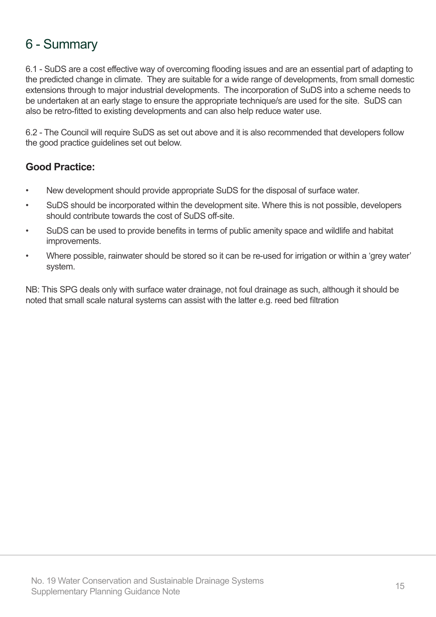### 6 - Summary

6.1 - SuDS are a cost effective way of overcoming flooding issues and are an essential part of adapting to the predicted change in climate. They are suitable for a wide range of developments, from small domestic extensions through to major industrial developments. The incorporation of SuDS into a scheme needs to be undertaken at an early stage to ensure the appropriate technique/s are used for the site. SuDS can also be retro-fitted to existing developments and can also help reduce water use.

6.2 - The Council will require SuDS as set out above and it is also recommended that developers follow the good practice guidelines set out below.

#### **Good Practice:**

- New development should provide appropriate SuDS for the disposal of surface water.
- SuDS should be incorporated within the development site. Where this is not possible, developers should contribute towards the cost of SuDS off-site.
- SuDS can be used to provide benefits in terms of public amenity space and wildlife and habitat improvements.
- Where possible, rainwater should be stored so it can be re-used for irrigation or within a 'grey water' system.

NB: This SPG deals only with surface water drainage, not foul drainage as such, although it should be noted that small scale natural systems can assist with the latter e.g. reed bed filtration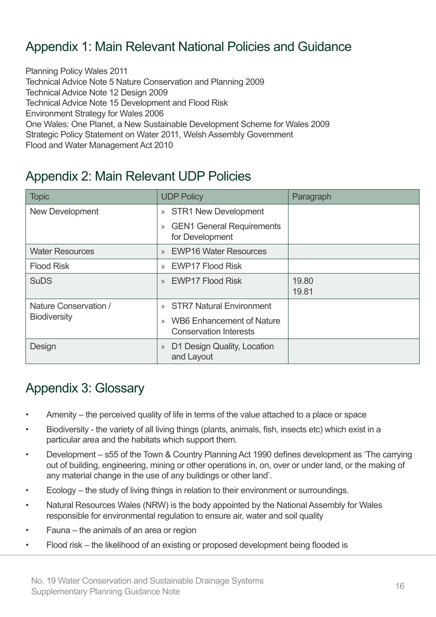# Appendix 1: Main Relevant National Policies and Guidance

Planning Policy Wales 2011 Technical Advice Note 5 Nature Conservation and Planning 2009 Technical Advice Note 12 Design 2009 Technical Advice Note 15 Development and Flood Risk Environment Strategy for Wales 2006 One Wales: One Planet, a New Sustainable Development Scheme for Wales 2009 Strategic Policy Statement on Water 2011, Welsh Assembly Government Flood and Water Management Act 2010

### Appendix 2: Main Relevant UDP Policies

| <b>Topic</b>           | <b>UDP Policy</b>                                                          | Paragraph      |
|------------------------|----------------------------------------------------------------------------|----------------|
| <b>New Development</b> | <b>STR1 New Development</b><br>$\rangle$                                   |                |
|                        | <b>GEN1 General Requirements</b><br>$\gg$<br>for Development               |                |
| <b>Water Resources</b> | <b>EWP16 Water Resources</b><br>$\mathcal{P}$                              |                |
| <b>Flood Risk</b>      | <b>EWP17 Flood Risk</b><br>$\gg$                                           |                |
| <b>SuDS</b>            | <b>EWP17 Flood Risk</b><br>$\mathcal{P}$                                   | 19.80<br>19.81 |
| Nature Conservation /  | <b>STR7 Natural Environment</b><br>$\mathcal{Y}$                           |                |
| <b>Biodiversity</b>    | <b>WB6</b> Enhancement of Nature<br>$\gg$<br><b>Conservation Interests</b> |                |
| Design                 | D1 Design Quality, Location<br>$\rangle\!\rangle$<br>and Layout            |                |

### Appendix 3: Glossary

- Amenity the perceived quality of life in terms of the value attached to a place or space
- Biodiversity the variety of all living things (plants, animals, fish, insects etc) which exist in a particular area and the habitats which support them.
- Development s55 of the Town & Country Planning Act 1990 defines development as 'The carrying out of building, engineering, mining or other operations in, on, over or under land, or the making of any material change in the use of any buildings or other land'.
- Ecology the study of living things in relation to their environment or surroundings.
- Natural Resources Wales (NRW) is the body appointed by the National Assembly for Wales responsible for environmental regulation to ensure air, water and soil quality
- Fauna  $-$  the animals of an area or region
- Flood risk the likelihood of an existing or proposed development being flooded is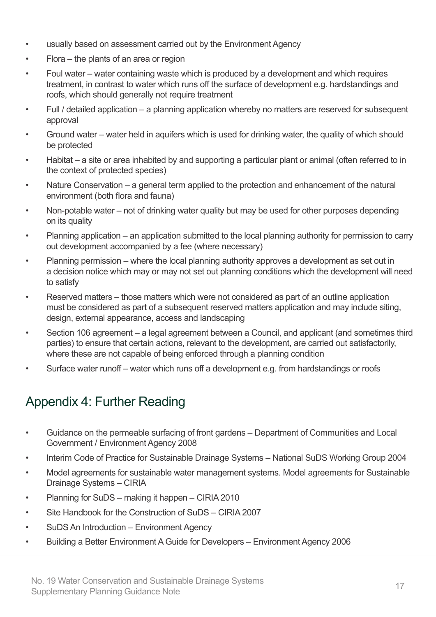- usually based on assessment carried out by the Environment Agency
- $Flora the plants of an area or region$
- Foul water water containing waste which is produced by a development and which requires treatment, in contrast to water which runs off the surface of development e.g. hardstandings and roofs, which should generally not require treatment
- Full / detailed application a planning application whereby no matters are reserved for subsequent approval
- Ground water water held in aquifers which is used for drinking water, the quality of which should be protected
- Habitat  $-$  a site or area inhabited by and supporting a particular plant or animal (often referred to in the context of protected species)
- Nature Conservation a general term applied to the protection and enhancement of the natural environment (both flora and fauna)
- Non-potable water not of drinking water quality but may be used for other purposes depending on its quality
- Planning application an application submitted to the local planning authority for permission to carry out development accompanied by a fee (where necessary)
- Planning permission where the local planning authority approves a development as set out in a decision notice which may or may not set out planning conditions which the development will need to satisfy
- Reserved matters those matters which were not considered as part of an outline application must be considered as part of a subsequent reserved matters application and may include siting, design, external appearance, access and landscaping
- Section 106 agreement a legal agreement between a Council, and applicant (and sometimes third parties) to ensure that certain actions, relevant to the development, are carried out satisfactorily, where these are not capable of being enforced through a planning condition
- Surface water runoff water which runs off a development e.g. from hardstandings or roofs

# Appendix 4: Further Reading

- • Guidance on the permeable surfacing of front gardens Department of Communities and Local Government / Environment Agency 2008
- Interim Code of Practice for Sustainable Drainage Systems National SuDS Working Group 2004
- Model agreements for sustainable water management systems. Model agreements for Sustainable Drainage Systems – CIRIA
- Planning for SuDS making it happen CIRIA 2010
- Site Handbook for the Construction of  $SUDS CIRIA 2007$
- SuDS An Introduction Environment Agency
- Building a Better Environment A Guide for Developers Environment Agency 2006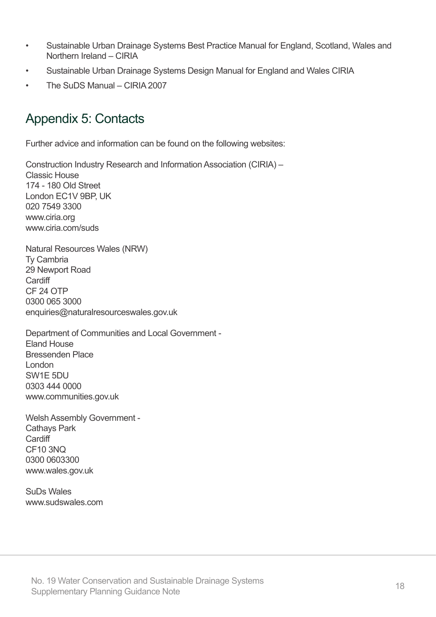- • Sustainable Urban Drainage Systems Best Practice Manual for England, Scotland, Wales and Northern Ireland – CIRIA
- Sustainable Urban Drainage Systems Design Manual for England and Wales CIRIA
- The SuDS Manual CIRIA 2007

### Appendix 5: Contacts

Further advice and information can be found on the following websites:

Construction Industry Research and Information Association (CIRIA) – Classic House 174 - 180 Old Street London EC1V 9BP, UK 020 7549 3300 www.ciria.org www.ciria.com/suds

Natural Resources Wales (NRW) Ty Cambria 29 Newport Road **Cardiff** CF 24 OTP 0300 065 3000 enquiries@naturalresourceswales.gov.uk

Department of Communities and Local Government - Eland House Bressenden Place London SW1E 5DU 0303 444 0000 www.communities.gov.uk

Welsh Assembly Government - Cathays Park **Cardiff** CF10 3NQ 0300 0603300 www.wales.gov.uk

SuDs Wales www.sudswales.com